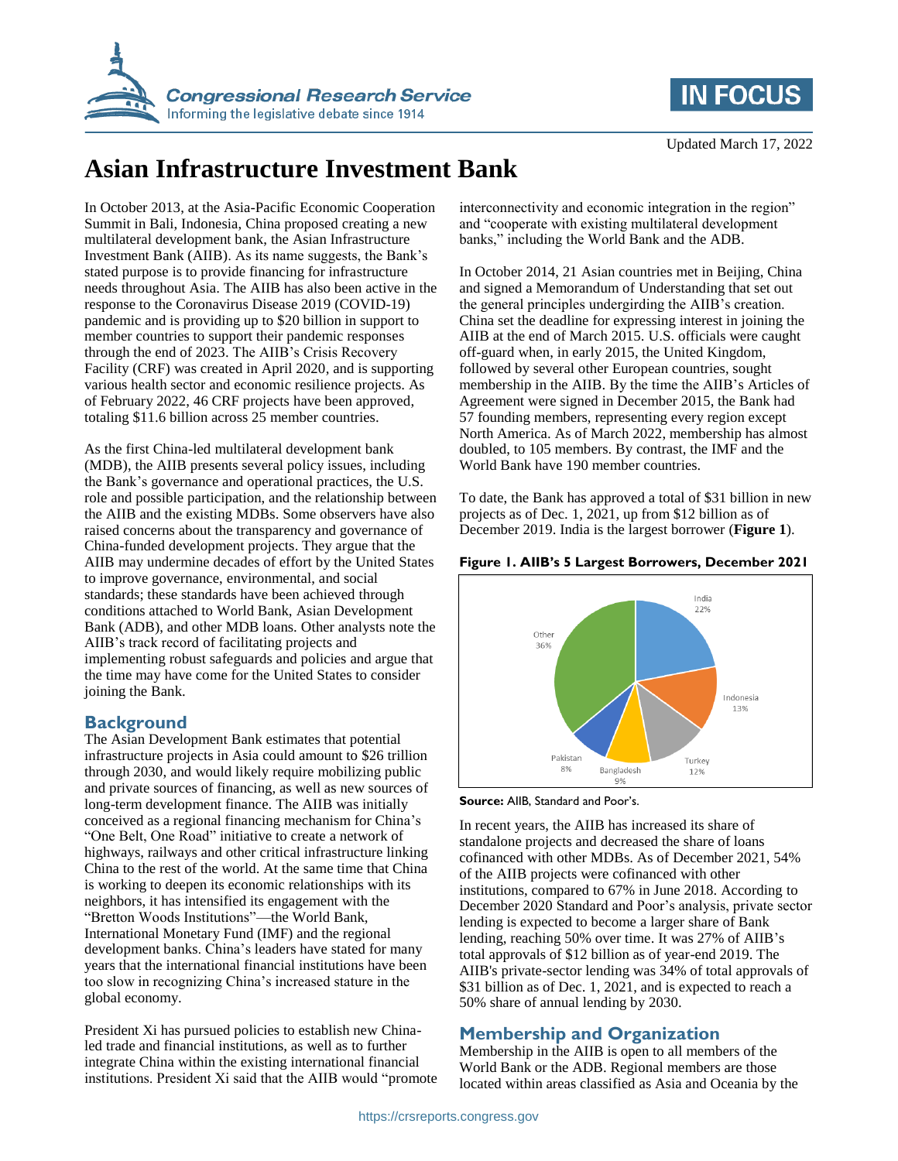



# **Asian Infrastructure Investment Bank**

In October 2013, at the Asia-Pacific Economic Cooperation Summit in Bali, Indonesia, China proposed creating a new multilateral development bank, the Asian Infrastructure Investment Bank (AIIB). As its name suggests, the Bank's stated purpose is to provide financing for infrastructure needs throughout Asia. The AIIB has also been active in the response to the Coronavirus Disease 2019 (COVID-19) pandemic and is providing up to \$20 billion in support to member countries to support their pandemic responses through the end of 2023. The AIIB's Crisis Recovery Facility (CRF) was created in April 2020, and is supporting various health sector and economic resilience projects. As of February 2022, 46 CRF projects have been approved, totaling \$11.6 billion across 25 member countries.

As the first China-led multilateral development bank (MDB), the AIIB presents several policy issues, including the Bank's governance and operational practices, the U.S. role and possible participation, and the relationship between the AIIB and the existing MDBs. Some observers have also raised concerns about the transparency and governance of China-funded development projects. They argue that the AIIB may undermine decades of effort by the United States to improve governance, environmental, and social standards; these standards have been achieved through conditions attached to World Bank, Asian Development Bank (ADB), and other MDB loans. Other analysts note the AIIB's track record of facilitating projects and implementing robust safeguards and policies and argue that the time may have come for the United States to consider joining the Bank.

# **Background**

The Asian Development Bank estimates that potential infrastructure projects in Asia could amount to \$26 trillion through 2030, and would likely require mobilizing public and private sources of financing, as well as new sources of long-term development finance. The AIIB was initially conceived as a regional financing mechanism for China's "One Belt, One Road" initiative to create a network of highways, railways and other critical infrastructure linking China to the rest of the world. At the same time that China is working to deepen its economic relationships with its neighbors, it has intensified its engagement with the "Bretton Woods Institutions"—the World Bank, International Monetary Fund (IMF) and the regional development banks. China's leaders have stated for many years that the international financial institutions have been too slow in recognizing China's increased stature in the global economy.

President Xi has pursued policies to establish new Chinaled trade and financial institutions, as well as to further integrate China within the existing international financial institutions. President Xi said that the AIIB would "promote

interconnectivity and economic integration in the region" and "cooperate with existing multilateral development banks," including the World Bank and the ADB.

In October 2014, 21 Asian countries met in Beijing, China and signed a Memorandum of Understanding that set out the general principles undergirding the AIIB's creation. China set the deadline for expressing interest in joining the AIIB at the end of March 2015. U.S. officials were caught off-guard when, in early 2015, the United Kingdom, followed by several other European countries, sought membership in the AIIB. By the time the AIIB's Articles of Agreement were signed in December 2015, the Bank had 57 founding members, representing every region except North America. As of March 2022, membership has almost doubled, to 105 members. By contrast, the IMF and the World Bank have 190 member countries.

To date, the Bank has approved a total of \$31 billion in new projects as of Dec. 1, 2021, up from \$12 billion as of December 2019. India is the largest borrower (**Figure 1**).

# **Figure 1. AIIB's 5 Largest Borrowers, December 2021**



**Source:** AIIB, Standard and Poor's.

In recent years, the AIIB has increased its share of standalone projects and decreased the share of loans cofinanced with other MDBs. As of December 2021, 54% of the AIIB projects were cofinanced with other institutions, compared to 67% in June 2018. According to December 2020 Standard and Poor's analysis, private sector lending is expected to become a larger share of Bank lending, reaching 50% over time. It was 27% of AIIB's total approvals of \$12 billion as of year-end 2019. The AIIB's private-sector lending was 34% of total approvals of \$31 billion as of Dec. 1, 2021, and is expected to reach a 50% share of annual lending by 2030.

# **Membership and Organization**

Membership in the AIIB is open to all members of the World Bank or the ADB. Regional members are those located within areas classified as Asia and Oceania by the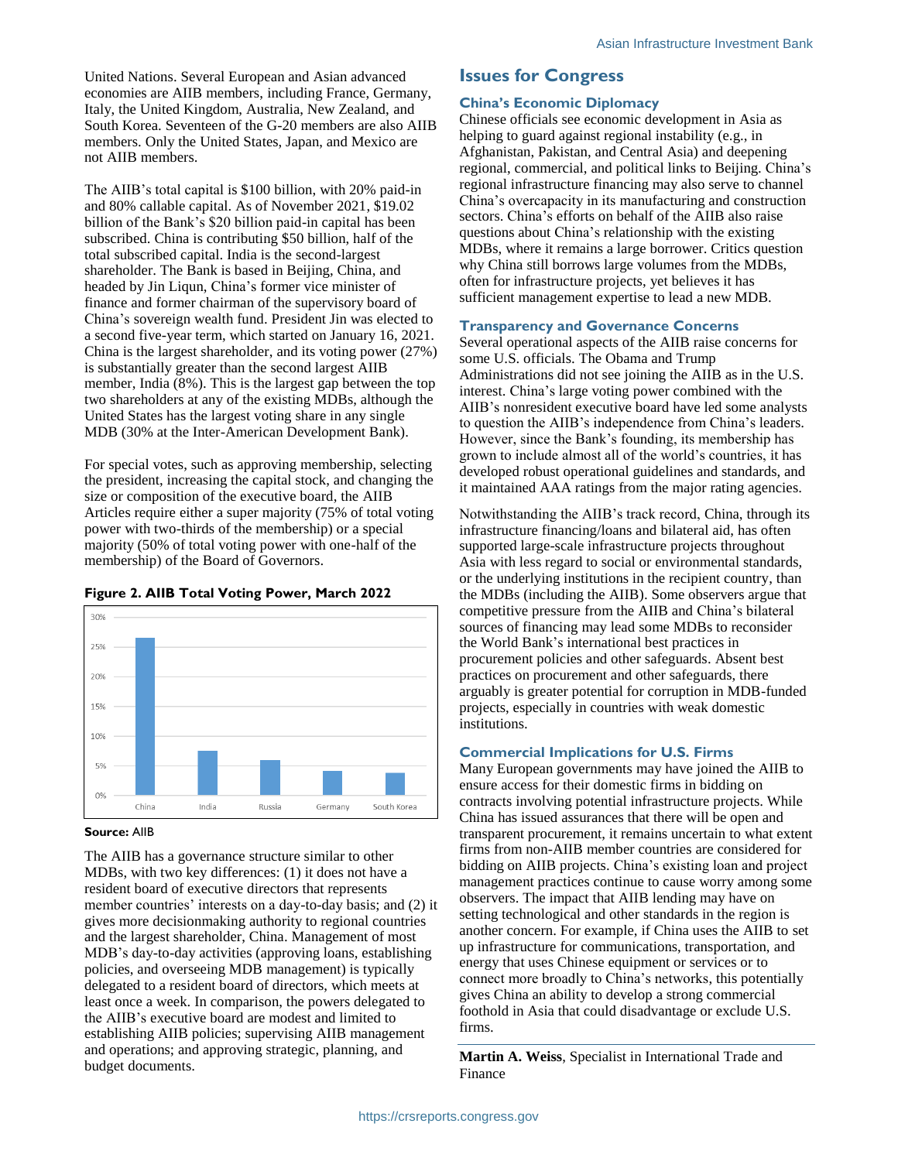United Nations. Several European and Asian advanced economies are AIIB members, including France, Germany, Italy, the United Kingdom, Australia, New Zealand, and South Korea. Seventeen of the G-20 members are also AIIB members. Only the United States, Japan, and Mexico are not AIIB members.

The AIIB's total capital is \$100 billion, with 20% paid-in and 80% callable capital. As of November 2021, \$19.02 billion of the Bank's \$20 billion paid-in capital has been subscribed. China is contributing \$50 billion, half of the total subscribed capital. India is the second-largest shareholder. The Bank is based in Beijing, China, and headed by Jin Liqun, China's former vice minister of finance and former chairman of the supervisory board of China's sovereign wealth fund. President Jin was elected to a second five-year term, which started on January 16, 2021. China is the largest shareholder, and its voting power (27%) is substantially greater than the second largest AIIB member, India (8%). This is the largest gap between the top two shareholders at any of the existing MDBs, although the United States has the largest voting share in any single MDB (30% at the Inter-American Development Bank).

For special votes, such as approving membership, selecting the president, increasing the capital stock, and changing the size or composition of the executive board, the AIIB Articles require either a super majority (75% of total voting power with two-thirds of the membership) or a special majority (50% of total voting power with one-half of the membership) of the Board of Governors.



## **Figure 2. AIIB Total Voting Power, March 2022**

#### **Source:** AIIB

The AIIB has a governance structure similar to other MDBs, with two key differences: (1) it does not have a resident board of executive directors that represents member countries' interests on a day-to-day basis; and (2) it gives more decisionmaking authority to regional countries and the largest shareholder, China. Management of most MDB's day-to-day activities (approving loans, establishing policies, and overseeing MDB management) is typically delegated to a resident board of directors, which meets at least once a week. In comparison, the powers delegated to the AIIB's executive board are modest and limited to establishing AIIB policies; supervising AIIB management and operations; and approving strategic, planning, and budget documents.

# **Issues for Congress**

#### **China's Economic Diplomacy**

Chinese officials see economic development in Asia as helping to guard against regional instability (e.g., in Afghanistan, Pakistan, and Central Asia) and deepening regional, commercial, and political links to Beijing. China's regional infrastructure financing may also serve to channel China's overcapacity in its manufacturing and construction sectors. China's efforts on behalf of the AIIB also raise questions about China's relationship with the existing MDBs, where it remains a large borrower. Critics question why China still borrows large volumes from the MDBs, often for infrastructure projects, yet believes it has sufficient management expertise to lead a new MDB.

#### **Transparency and Governance Concerns**

Several operational aspects of the AIIB raise concerns for some U.S. officials. The Obama and Trump Administrations did not see joining the AIIB as in the U.S. interest. China's large voting power combined with the AIIB's nonresident executive board have led some analysts to question the AIIB's independence from China's leaders. However, since the Bank's founding, its membership has grown to include almost all of the world's countries, it has developed robust operational guidelines and standards, and it maintained AAA ratings from the major rating agencies.

Notwithstanding the AIIB's track record, China, through its infrastructure financing/loans and bilateral aid, has often supported large-scale infrastructure projects throughout Asia with less regard to social or environmental standards, or the underlying institutions in the recipient country, than the MDBs (including the AIIB). Some observers argue that competitive pressure from the AIIB and China's bilateral sources of financing may lead some MDBs to reconsider the World Bank's international best practices in procurement policies and other safeguards. Absent best practices on procurement and other safeguards, there arguably is greater potential for corruption in MDB-funded projects, especially in countries with weak domestic institutions.

## **Commercial Implications for U.S. Firms**

Many European governments may have joined the AIIB to ensure access for their domestic firms in bidding on contracts involving potential infrastructure projects. While China has issued assurances that there will be open and transparent procurement, it remains uncertain to what extent firms from non-AIIB member countries are considered for bidding on AIIB projects. China's existing loan and project management practices continue to cause worry among some observers. The impact that AIIB lending may have on setting technological and other standards in the region is another concern. For example, if China uses the AIIB to set up infrastructure for communications, transportation, and energy that uses Chinese equipment or services or to connect more broadly to China's networks, this potentially gives China an ability to develop a strong commercial foothold in Asia that could disadvantage or exclude U.S. firms.

**Martin A. Weiss**, Specialist in International Trade and Finance